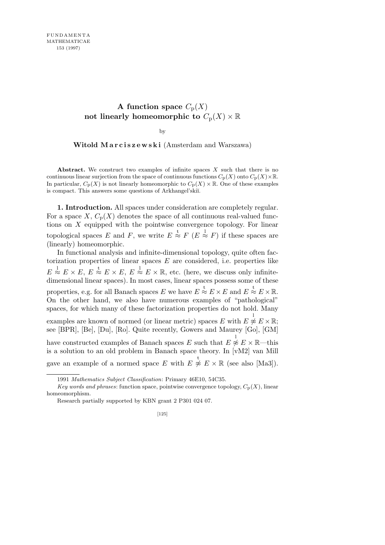## **A** function space  $C_p(X)$ not linearly homeomorphic to  $C_p(X) \times \mathbb{R}$

by

**Witold Marciszewski** (Amsterdam and Warszawa)

**Abstract.** We construct two examples of infinite spaces *X* such that there is no continuous linear surjection from the space of continuous functions  $C_p(X)$  onto  $C_p(X) \times \mathbb{R}$ . In particular,  $C_p(X)$  is not linearly homeomorphic to  $C_p(X) \times \mathbb{R}$ . One of these examples is compact. This answers some questions of Arkhangel'skiï.

**1. Introduction.** All spaces under consideration are completely regular. For a space *X*,  $C_p(X)$  denotes the space of all continuous real-valued functions on *X* equipped with the pointwise convergence topology. For linear topological spaces *E* and *F*, we write  $E \stackrel{t}{\approx} F(E \stackrel{1}{\approx} F)$  if these spaces are (linearly) homeomorphic.

In functional analysis and infinite-dimensional topology, quite often factorization properties of linear spaces *E* are considered, i.e. properties like  $E \stackrel{1}{\approx} E \times E$ ,  $E \stackrel{t}{\approx} E \times E$ ,  $E \stackrel{1}{\approx} E \times \mathbb{R}$ , etc. (here, we discuss only infinitedimensional linear spaces). In most cases, linear spaces possess some of these properties, e.g. for all Banach spaces *E* we have  $E \stackrel{t}{\approx} E \times E$  and  $E \stackrel{t}{\approx} E \times \mathbb{R}$ . On the other hand, we also have numerous examples of "pathological" spaces, for which many of these factorization properties do not hold. Many examples are known of normed (or linear metric) spaces  $E$  with  $E \overset{1}{\not\approx} E \times \mathbb{R}$ ; see [BPR], [Be], [Du], [Ro]. Quite recently, Gowers and Maurey [Go], [GM] have constructed examples of Banach spaces  $E$  such that  $E \overset{1}{\not\approx} E \times \mathbb{R}$ —this is a solution to an old problem in Banach space theory. In [vM2] van Mill gave an example of a normed space *E* with  $E \overset{t}{\not\approx} E \times \mathbb{R}$  (see also [Ma3]).

<sup>1991</sup> *Mathematics Subject Classification*: Primary 46E10, 54C35.

*Key words and phrases*: function space, pointwise convergence topology,  $C_p(X)$ , linear homeomorphism.

Research partially supported by KBN grant 2 P301 024 07.

<sup>[125]</sup>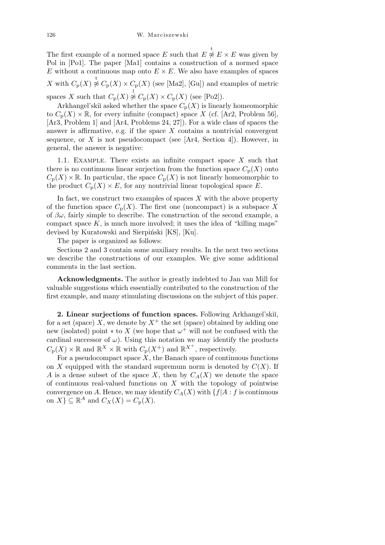The first example of a normed space *E* such that  $E \overset{t}{\not\approx} E \times E$  was given by Pol in [Po1]. The paper [Ma1] contains a construction of a normed space *E* without a continuous map onto  $E \times E$ . We also have examples of spaces X with  $C_p(X) \overset{\text{t}}{\not\approx} C_p(X) \times C_p(X)$  (see [Ma2], [Gu]) and examples of metric spaces *X* such that  $C_p(X) \not\approx C_p(X) \times C_p(X)$  (see [Po2]).

Arkhangel'skiĭ asked whether the space  $C_p(X)$  is linearly homeomorphic to  $C_p(X) \times \mathbb{R}$ , for every infinite (compact) space *X* (cf. [Ar2, Problem 56], [Ar3, Problem 1] and [Ar4, Problems 24, 27]). For a wide class of spaces the answer is affirmative, e.g. if the space *X* contains a nontrivial convergent sequence, or  $X$  is not pseudocompact (see  $[Ar4, Section 4]$ ). However, in general, the answer is negative:

1.1. Example. There exists an infinite compact space *X* such that there is no continuous linear surjection from the function space  $C_p(X)$  onto  $C_p(X) \times \mathbb{R}$ . In particular, the space  $C_p(X)$  is not linearly homeomorphic to the product  $C_p(X) \times E$ , for any nontrivial linear topological space *E*.

In fact, we construct two examples of spaces  $X$  with the above property of the function space  $C_p(X)$ . The first one (noncompact) is a subspace X of  $\beta\omega$ , fairly simple to describe. The construction of the second example, a compact space  $K$ , is much more involved; it uses the idea of "killing maps" devised by Kuratowski and Sierpiński [KS], [Ku].

The paper is organized as follows:

Sections 2 and 3 contain some auxiliary results. In the next two sections we describe the constructions of our examples. We give some additional comments in the last section.

**Acknowledgments.** The author is greatly indebted to Jan van Mill for valuable suggestions which essentially contributed to the construction of the first example, and many stimulating discussions on the subject of this paper.

2. Linear surjections of function spaces. Following Arkhangel'skiı̆, for a set (space) *X*, we denote by  $X^+$  the set (space) obtained by adding one new (isolated) point  $*$  to X (we hope that  $\omega^+$  will not be confused with the cardinal successor of  $\omega$ ). Using this notation we may identify the products  $C_{\mathbf{p}}(X) \times \mathbb{R}$  and  $\mathbb{R}^X \times \mathbb{R}$  with  $C_{\mathbf{p}}(X^+)$  and  $\mathbb{R}^{X^+}$ , respectively.

For a pseudocompact space *X*, the Banach space of continuous functions on *X* equipped with the standard supremum norm is denoted by  $C(X)$ . If *A* is a dense subset of the space *X*, then by  $C_A(X)$  we denote the space of continuous real-valued functions on *X* with the topology of pointwise convergence on *A*. Hence, we may identify  $C_A(X)$  with  $\{f | A : f$  is continuous on  $X$ }  $\subseteq \mathbb{R}^A$  and  $C_X(X) = C_p(X)$ .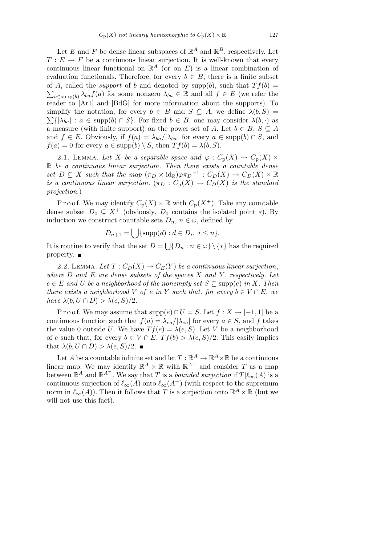Let *E* and *F* be dense linear subspaces of  $\mathbb{R}^A$  and  $\mathbb{R}^B$ , respectively. Let  $T: E \to F$  be a continuous linear surjection. It is well-known that every continuous linear functional on  $\mathbb{R}^A$  (or on  $E$ ) is a linear combination of evaluation functionals. Therefore, for every  $b \in B$ , there is a finite subset of *A*, called the *support* of *b* and denoted by supp(*b*), such that  $Tf(b) =$  $a \in \text{supp}(b)$   $\lambda_{ba} f(a)$  for some nonzero  $\lambda_{ba} \in \mathbb{R}$  and all  $f \in E$  (we refer the reader to [Ar1] and [BdG] for more information about the supports). To simplify the notation, for every  $b \in B$  and  $S \subseteq A$ , we define  $\lambda(b, S) = \sum_{i=1}^{n} a_i$  $\sum\{|\lambda_{ba}| : a \in \text{supp}(b) \cap S\}$ . For fixed  $b \in B$ , one may consider  $\lambda(b, \cdot)$  as a measure (with finite support) on the power set of *A*. Let  $b \in B$ ,  $S \subseteq A$ and  $f \in E$ . Obviously, if  $f(a) = \lambda_{ba}/|\lambda_{ba}|$  for every  $a \in \text{supp}(b) \cap S$ , and  $f(a) = 0$  for every  $a \in \text{supp}(b) \setminus S$ , then  $Tf(b) = \lambda(b, S)$ .

2.1. LEMMA. Let *X* be a separable space and  $\varphi : C_{\mathbf{p}}(X) \to C_{\mathbf{p}}(X) \times$ R *be a continuous linear surjection. Then there exists a countable dense set*  $D \subseteq X$  *such that the map*  $(\pi_D \times id_{\mathbb{R}}) \varphi \pi_D^{-1} : C_D(X) \to C_D(X) \times \mathbb{R}$ *is a continuous linear surjection.*  $(\pi_D : C_p(X) \to C_p(X)$  *is the standard projection.*)

P r o o f. We may identify  $C_p(X) \times \mathbb{R}$  with  $C_p(X^+)$ . Take any countable dense subset  $D_0 \subseteq X^+$  (obviously,  $D_0$  contains the isolated point  $*$ ). By induction we construct countable sets  $D_n$ ,  $n \in \omega$ , defined by  $\mathbf{r}$ 

$$
D_{n+1} = \bigcup \{ \text{supp}(d) : d \in D_i, i \leq n \}.
$$

It is routine to verify that the set  $D =$ S  ${D_n : n \in \omega} \ \{ * \}$  has the required property.  $\blacksquare$ 

2.2. LEMMA. Let  $T: C_D(X) \to C_E(Y)$  be a continuous linear surjection, *where D and E are dense subsets of the spaces X and Y* , *respectively. Let*  $e \in E$  *and*  $U$  *be a neighborhood of the nonempty set*  $S \subseteq \text{supp}(e)$  *in*  $X$ *. Then there exists a neighborhood V of e in Y such that, for every*  $b \in V \cap E$ , *we have*  $\lambda(b, U \cap D) > \lambda(e, S)/2$ .

Proof. We may assume that  $supp(e) \cap U = S$ . Let  $f : X \to [-1,1]$  be a continuous function such that  $f(a) = \lambda_{ea}/|\lambda_{ea}|$  for every  $a \in S$ , and  $f$  takes the value 0 outside *U*. We have  $Tf(e) = \lambda(e, S)$ . Let *V* be a neighborhood of *e* such that, for every  $b \in V \cap E$ ,  $Tf(b) > \lambda(e, S)/2$ . This easily implies that  $\lambda(b, U \cap D) > \lambda(e, S)/2$ .

Let *A* be a countable infinite set and let  $T : \mathbb{R}^A \to \mathbb{R}^A \times \mathbb{R}$  be a continuous linear map. We may identify  $\mathbb{R}^A \times \mathbb{R}$  with  $\mathbb{R}^{A^+}$  and consider *T* as a map between  $\mathbb{R}^A$  and  $\mathbb{R}^{\overline{A}^+}$ . We say that *T* is a *bounded surjection* if  $T | \ell_\infty(A)$  is a continuous surjection of  $\ell_{\infty}(A)$  onto  $\ell_{\infty}(A^+)$  (with respect to the supremum norm in  $\ell_{\infty}(A)$ ). Then it follows that *T* is a surjection onto  $\mathbb{R}^A \times \mathbb{R}$  (but we will not use this fact).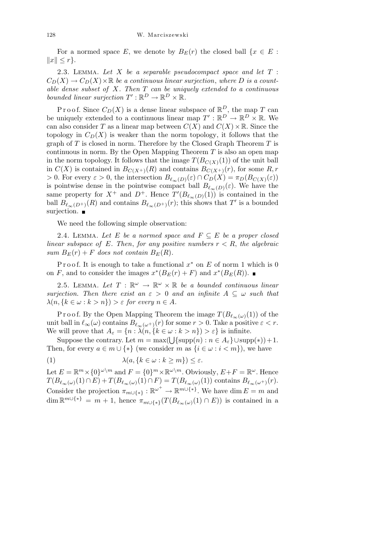For a normed space *E*, we denote by  $B_E(r)$  the closed ball  $\{x \in E :$  $||x|| \leq r$ .

2.3. Lemma. *Let X be a separable pseudocompact space and let T* :  $C_D(X) \to C_D(X) \times \mathbb{R}$  *be a continuous linear surjection, where D is a countable dense subset of X. Then T can be uniquely extended to a continuous bounded linear surjection*  $T': \mathbb{R}^D \to \mathbb{R}^D \times \mathbb{R}$ .

Proof. Since  $C_D(X)$  is a dense linear subspace of  $\mathbb{R}^D$ , the map *T* can be uniquely extended to a continuous linear map  $T' : \mathbb{R}^D \to \mathbb{R}^D \times \mathbb{R}$ . We can also consider *T* as a linear map between  $C(X)$  and  $C(X) \times \mathbb{R}$ . Since the topology in  $C_D(X)$  is weaker than the norm topology, it follows that the graph of *T* is closed in norm. Therefore by the Closed Graph Theorem *T* is continuous in norm. By the Open Mapping Theorem *T* is also an open map in the norm topology. It follows that the image  $T(B_{C(X)}(1))$  of the unit ball in  $C(X)$  is contained in  $B_{C(X^+)}(R)$  and contains  $B_{C(X^+)}(r)$ , for some  $R, r$  $> 0$ . For every  $\varepsilon > 0$ , the intersection  $B_{\ell_{\infty}(D)}(\varepsilon) \cap C_D(X) = \pi_D(B_{C(X)}(\varepsilon))$ is pointwise dense in the pointwise compact ball  $B_{\ell_{\infty}(D)}(\varepsilon)$ . We have the same property for  $X^+$  and  $D^+$ . Hence  $T'(B_{\ell_\infty(D)}(1))$  is contained in the ball  $B_{\ell_{\infty}(D^+)}(R)$  and contains  $B_{\ell_{\infty}(D^+)}(r)$ ; this shows that  $T'$  is a bounded surjection.  $\blacksquare$ 

We need the following simple observation:

2.4. LEMMA. Let E be a normed space and  $F \subseteq E$  be a proper closed *linear subspace of*  $E$ *. Then, for any positive numbers*  $r < R$ *, the algebraic sum*  $B_F(r) + F$  *does not contain*  $B_F(R)$ *.* 

Proof. It is enough to take a functional  $x^*$  on  $E$  of norm 1 which is 0 on *F*, and to consider the images  $x^*(B_E(r) + F)$  and  $x^*(B_E(R))$ .

2.5. LEMMA. Let  $T : \mathbb{R}^{\omega} \to \mathbb{R}^{\omega} \times \mathbb{R}$  be a bounded continuous linear *surjection. Then there exist an*  $\varepsilon > 0$  *and an infinite*  $A \subseteq \omega$  *such that*  $\lambda(n, \{k \in \omega : k > n\}) > \varepsilon$  for every  $n \in A$ .

Proof. By the Open Mapping Theorem the image  $T(B_{\ell_{\infty}(\omega)}(1))$  of the unit ball in  $\ell_{\infty}(\omega)$  contains  $B_{\ell_{\infty}(\omega^+)}(r)$  for some  $r > 0$ . Take a positive  $\varepsilon < r$ . We will prove that  $A_{\varepsilon} = \{n : \lambda(n, \{k \in \omega : k > n\}) > \varepsilon\}$  is infinite.

Suppose the contrary. Let  $m = \max(\bigcup \{\text{supp}(n) : n \in A_{\varepsilon}\} \cup \text{supp}(*)) + 1$ . Then, for every  $a \in m \cup \{*\}$  (we consider *m* as  $\{i \in \omega : i < m\}$ ), we have

(1) 
$$
\lambda(a, \{k \in \omega : k \ge m\}) \le \varepsilon.
$$

Let  $E = \mathbb{R}^m \times \{0\}^{\omega \setminus m}$  and  $F = \{0\}^m \times \mathbb{R}^{\omega \setminus m}$ . Obviously,  $E + F = \mathbb{R}^{\omega}$ . Hence  $T(B_{\ell_{\infty}(\omega)}(1) \cap E) + T(B_{\ell_{\infty}(\omega)}(1) \cap F) = T(B_{\ell_{\infty}(\omega)}(1))$  contains  $B_{\ell_{\infty}(\omega^+)}(r)$ . Consider the projection  $\pi_{m\cup\{*\}}:\mathbb{R}^{\omega^+}\to\mathbb{R}^{m\cup\{*\}}$ . We have dim  $E=m$  and  $\dim \mathbb{R}^{m \cup \{*\}} = m + 1$ , hence  $\pi_{m \cup \{*\}}(T(B_{\ell_\infty(\omega)}(1) \cap E))$  is contained in a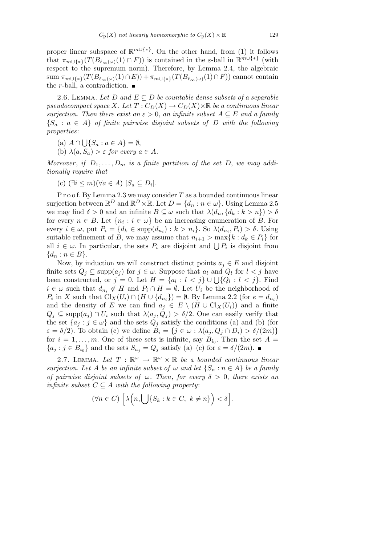proper linear subspace of R *<sup>m</sup>∪{∗}*. On the other hand, from (1) it follows that  $\pi_{m\cup\{*\}}(T(B_{\ell_\infty(\omega)}(1) \cap F))$  is contained in the  $\varepsilon$ -ball in  $\mathbb{R}^{m\cup\{*\}}$  (with respect to the supremum norm). Therefore, by Lemma 2.4, the algebraic  $\lim_{m \cup \{*\}} (T(B_{\ell_{\infty}(\omega)}(1) \cap E)) + \pi_{m \cup \{*\}} (T(B_{\ell_{\infty}(\omega)}(1) \cap F))$  cannot contain the *r*-ball, a contradiction. ■

2.6. LEMMA. Let *D* and  $E \subseteq D$  be countable dense subsets of a separable *pseudocompact space X. Let*  $T: C_D(X) \to C_D(X) \times \mathbb{R}$  *be a continuous linear surjection. Then there exist an*  $\varepsilon > 0$ , *an infinite subset*  $A \subseteq E$  *and a family*  ${S_a : a \in A}$  *of finite pairwise disjoint subsets of D with the following properties*:

(a) *A ∩* S  ${S_a : a \in A} = \emptyset$ ,

(b)  $\lambda(a, S_a) > \varepsilon$  for every  $a \in A$ .

*Moreover*, *if*  $D_1, \ldots, D_m$  *is a finite partition of the set D*, *we may additionally require that*

(c) 
$$
(\exists i \le m)(\forall a \in A) [S_a \subseteq D_i].
$$

P r o o f. By Lemma 2.3 we may consider *T* as a bounded continuous linear surjection between  $\mathbb{R}^D$  and  $\mathbb{R}^D \times \mathbb{R}$ . Let  $D = \{d_n : n \in \omega\}$ . Using Lemma 2.5 we may find  $\delta > 0$  and an infinite  $B \subseteq \omega$  such that  $\lambda(d_n, \{d_k : k > n\}) > \delta$ for every  $n \in B$ . Let  $\{n_i : i \in \omega\}$  be an increasing enumeration of *B*. For every  $i \in \omega$ , put  $P_i = \{d_k \in \text{supp}(d_{n_i}) : k > n_i\}$ . So  $\lambda(d_{n_i}, P_i) > \delta$ . Using suitable refinement of *B*, we may assume that  $n_{i+1} > \max\{k : d_k \in P_i\}$  for suitable remement of *B*, we may assume that  $n_{i+1} > \max\{\kappa : a_k \in P_i\}$  for all  $i \in \omega$ . In particular, the sets  $P_i$  are disjoint and  $\bigcup P_i$  is disjoint from *{d<sup>n</sup>* : *n ∈ B}*.

Now, by induction we will construct distinct points  $a_j \in E$  and disjoint finite sets  $Q_j \subseteq \text{supp}(a_j)$  for  $j \in \omega$ . Suppose that  $a_l$  and  $Q_l$  for  $l < j$  have been constructed, or  $j = 0$ . Let  $H = \{a_l : l < j\} \cup \bigcup \{Q_l : l < j\}$ . Find  $i \in \omega$  such that  $d_{n_i} \notin H$  and  $P_i \cap H = \emptyset$ . Let  $U_i$  be the neighborhood of  $P_i$  in *X* such that  $\text{Cl}_X(U_i) \cap (H \cup \{d_{n_i}\}) = \emptyset$ . By Lemma 2.2 (for  $e = d_{n_i}$ ) and the density of *E* we can find  $a_j \in E \setminus (H \cup \mathrm{Cl}_X(U_i))$  and a finite  $Q_j \subseteq \text{supp}(a_j) \cap U_i$  such that  $\lambda(a_j, Q_j) > \delta/2$ . One can easily verify that the set  $\{a_j : j \in \omega\}$  and the sets  $Q_j$  satisfy the conditions (a) and (b) (for  $\varepsilon = \delta/2$ . To obtain (c) we define  $B_i = \{j \in \omega : \lambda(a_j, Q_j \cap D_i) > \delta/(2m)\}$ for  $i = 1, \ldots, m$ . One of these sets is infinite, say  $B_{i_0}$ . Then the set  $A =$  ${a_j : j \in B_{i_0}}$  and the sets  $S_{a_j} = Q_j$  satisfy (a)–(c) for  $\varepsilon = \delta/(2m)$ .

2.7. LEMMA. Let  $T : \mathbb{R}^{\omega} \to \mathbb{R}^{\omega} \times \mathbb{R}$  be a bounded continuous linear *surjection. Let A be an infinite subset of*  $\omega$  *and let*  $\{S_n : n \in A\}$  *be a family of pairwise disjoint subsets of ω. Then*, *for every δ >* 0, *there exists an infinite subset*  $C \subseteq A$  *with the following property:* 

$$
(\forall n \in C) \left[ \lambda \Big( n, \bigcup \{ S_k : k \in C, \ k \neq n \} \Big) < \delta \right].
$$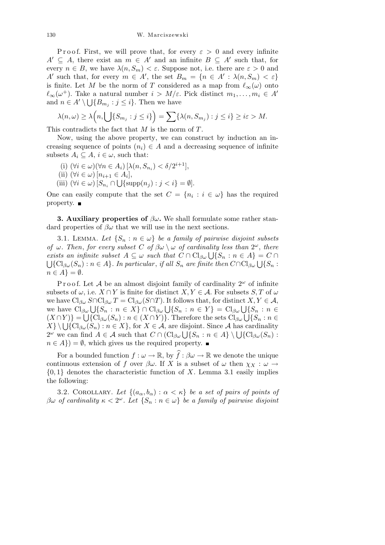Proof. First, we will prove that, for every  $\varepsilon > 0$  and every infinite  $A' \subseteq A$ , there exist an  $m \in A'$  and an infinite  $B \subseteq A'$  such that, for every  $n \in B$ , we have  $\lambda(n, S_m) < \varepsilon$ . Suppose not, i.e. there are  $\varepsilon > 0$  and *A*<sup>*i*</sup> such that, for every  $m \in A'$ , the set  $B_m = \{n \in A' : \lambda(n, S_m) < \varepsilon\}$ is finite. Let *M* be the norm of *T* considered as a map from  $\ell_{\infty}(\omega)$  onto  $\ell_{\infty}(\omega^{+})$ . Take a natural number  $i > M/\varepsilon$ . Pick distinct  $m_1, \ldots, m_i \in A$ <sup>0</sup> and  $n \in A' \setminus \bigcup \{B_{m_j} : j \leq i\}$ . Then we have

$$
\lambda(n,\omega) \geq \lambda\Big(n,\bigcup\{S_{m_j} : j \leq i\}\Big) = \sum \{\lambda(n,S_{m_j}) : j \leq i\} \geq i\varepsilon > M.
$$

This contradicts the fact that *M* is the norm of *T*.

Now, using the above property, we can construct by induction an increasing sequence of points  $(n_i) \in A$  and a decreasing sequence of infinite subsets  $A_i \subseteq A$ ,  $i \in \omega$ , such that:

- (i) (*∀i ∈ ω*)(*∀n ∈ Ai*) [*λ*(*n, S<sup>n</sup><sup>i</sup>* ) *< δ/*2 *<sup>i</sup>*+1],
- $(iii)$   $(\forall i \in \omega)$   $[n_{i+1} \in A_i],$
- (iii)  $(\forall i \in \omega) [S_{n_i} \cap \bigcup {\text{supp}(n_j) : j < i} = \emptyset].$

One can easily compute that the set  $C = \{n_i : i \in \omega\}$  has the required property. ■

**3. Auxiliary properties of**  $\beta\omega$ **. We shall formulate some rather stan**dard properties of  $\beta\omega$  that we will use in the next sections.

3.1. LEMMA. Let  $\{S_n : n \in \omega\}$  be a family of pairwise disjoint subsets *of*  $\omega$ *. Then, for every subset C of*  $\beta\omega \setminus \omega$  *of cardinality less than*  $2^{\omega}$ *, there exists an infinite subset*  $A \subseteq \omega$  *such that*  $C \cap \text{Cl}_{\beta \omega} \cup \{S_n : n \in A\} = C \cap$ *z isss an infinite subset*  $A \subseteq \omega$  *such that*  $C \cap C1_{\beta\omega} \cup \{S_n : n \in A\} = C \cap C$ <br> $\{C1_{\beta\omega}(S_n) : n \in A\}$ . In particular, if all  $S_n$  are finite then  $C \cap C1_{\beta\omega} \cup \{S_n : n \in A\}$ .  $n \in A$ } =  $\emptyset$ *.* 

P r o o f. Let A be an almost disjoint family of cardinality  $2^{\omega}$  of infinite subsets of  $\omega$ , i.e.  $X \cap Y$  is finite for distinct  $X, Y \in \mathcal{A}$ . For subsets  $S, T$  of  $\omega$ we have  $\text{Cl}_{\beta\omega} S \cap \text{Cl}_{\beta\omega} T = \text{Cl}_{\beta\omega} (S \cap T)$ . It follows that, for distinct  $X, Y \in \mathcal{A}$ , we have  $Cl_{\beta\omega} S \cap Cl_{\beta\omega} I = Cl_{\beta\omega}(S \cap I)$ . It follows that, for distinct  $X, Y \in A$ ,<br>we have  $Cl_{\beta\omega} \bigcup \{S_n : n \in X\} \cap Cl_{\beta\omega} \bigcup \{S_n : n \in Y\} = Cl_{\beta\omega} \bigcup \{S_n : n \in X\}$  $(X \cap Y)$ } =  $\bigcup \{Cl_{\beta\omega}(S_n) : n \in (X \cap Y)\}\$ . Therefore the sets  $Cl_{\beta\omega}\bigcup\{S_n : n \in (X \cap Y)\}\$ . Therefore the sets  $Cl_{\beta\omega}\bigcup\{S_n : n \in (X \cap Y)\}\$ .  $(X \cap Y) = \bigcup \{ \bigcup_{\beta \omega} (\overline{S}_n) : n \in \mathbb{X} \}, \text{ for } X \in \mathcal{A}, \text{ are disjoint. Since } \mathcal{A} \text{ has cardinality.}$  $\Delta$  *j*  $\setminus \bigcup \{C_1 \beta_{\omega}(\mathcal{S}_n) : n \in \mathcal{X} \}$ , for  $\Lambda \in \mathcal{A}$ , are disjoint. Since  $\mathcal{A}$  has cardinality  $2^{\omega}$  we can find  $A \in \mathcal{A}$  such that  $C \cap (\mathrm{Cl}_{\beta\omega} \cup \{S_n : n \in A\} \setminus \bigcup \{\mathrm{Cl}_{\beta\omega}(S_n) : n \in A\} \setminus \bigcup \{\mathrm{Cl}_{$  $n \in A$ }) =  $\emptyset$ , which gives us the required property.

For a bounded function  $f: \omega \to \mathbb{R}$ , by  $\widehat{f}: \beta \omega \to \mathbb{R}$  we denote the unique continuous extension of *f* over  $\beta\omega$ . If *X* is a subset of  $\omega$  then  $\chi_X : \omega \to$ *{*0*,* 1*}* denotes the characteristic function of *X*. Lemma 3.1 easily implies the following:

3.2. COROLLARY. Let  $\{(a_{\alpha},b_{\alpha}): \alpha < \kappa\}$  be a set of pairs of points of *βω of cardinality κ <* 2 *<sup>ω</sup>. Let {S<sup>n</sup>* : *n ∈ ω} be a family of pairwise disjoint*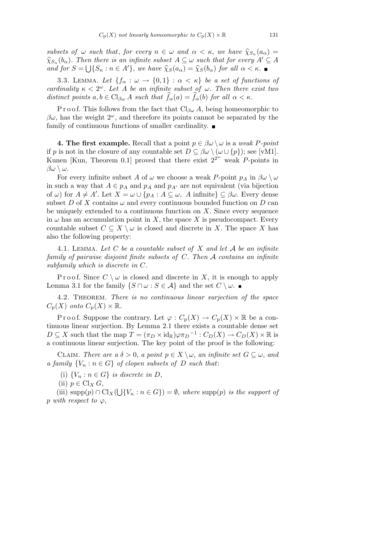*subsets of*  $\omega$  *such that, for every*  $n \in \omega$  *and*  $\alpha < \kappa$ *, we have*  $\hat{\chi}_{S_n}(a_\alpha)$  =  $\hat{\chi}_{S_n}(b_\alpha)$ . Then there is an infinite subset  $A \subseteq \omega$  such that for every  $A' \subseteq A$ *and for*  $S = \bigcup \{S_n : n \in A'\}$ , *we have*  $\hat{\chi}_S(a_\alpha) = \hat{\chi}_S(b_\alpha)$  *for all*  $\alpha < \kappa$ *.* 

3.3. LEMMA. Let  $\{f_\alpha : \omega \to \{0,1\} : \alpha < \kappa\}$  be a set of functions of *cardinality*  $\kappa < 2^{\omega}$ *. Let A be an infinite subset of*  $\omega$ *. Then there exist two distinct points*  $a, b \in Cl_{\beta\omega}$  *A such that*  $\widehat{f}_{\alpha}(a) = \widehat{f}_{\alpha}(b)$  *for all*  $\alpha < \kappa$ *.* 

P r o o f. This follows from the fact that  $Cl_{\beta\omega} A$ , being homeomorphic to  $\beta\omega$ , has the weight  $2^{\omega}$ , and therefore its points cannot be separated by the family of continuous functions of smaller cardinality.  $\blacksquare$ 

**4. The first example.** Recall that a point  $p \in \beta \omega \setminus \omega$  is a *weak P-point* if *p* is not in the closure of any countable set  $D \subseteq \beta \omega \setminus (\omega \cup \{p\})$ ; see [vM1]. Kunen [Kun, Theorem 0.1] proved that there exist  $2^{2^{\omega}}$  weak *P*-points in *βω \ ω*.

For every infinite subset *A* of  $\omega$  we choose a weak *P*-point  $p_A$  in  $\beta \omega \setminus \omega$ in such a way that  $A \in p_A$  and  $p_A$  and  $p_{A'}$  are not equivalent (via bijection of  $\omega$ ) for  $A \neq A'$ . Let  $X = \omega \cup \{p_A : A \subseteq \omega, A \text{ infinite}\}\subseteq \beta\omega$ . Every dense subset *D* of *X* contains  $\omega$  and every continuous bounded function on *D* can be uniquely extended to a continuous function on *X*. Since every sequence in  $\omega$  has an accumulation point in *X*, the space *X* is pseudocompact. Every countable subset  $C \subseteq X \setminus \omega$  is closed and discrete in *X*. The space *X* has also the following property:

4.1. Lemma. *Let C be a countable subset of X and let A be an infinite family of pairwise disjoint finite subsets of C. Then A contains an infinite subfamily which is discrete in C.*

Proof. Since  $C \setminus \omega$  is closed and discrete in X, it is enough to apply Lemma 3.1 for the family  $\{S \cap \omega : S \in \mathcal{A}\}\$ and the set  $C \setminus \omega$ .

4.2. Theorem. *There is no continuous linear surjection of the space*  $C_p(X)$  *onto*  $C_p(X) \times \mathbb{R}$ .

Proof. Suppose the contrary. Let  $\varphi : C_p(X) \to C_p(X) \times \mathbb{R}$  be a continuous linear surjection. By Lemma 2.1 there exists a countable dense set  $D \subseteq X$  such that the map  $T = (\pi_D \times id_{\mathbb{R}}) \varphi \pi_D^{-1} : C_D(X) \to C_D(X) \times \mathbb{R}$  is a continuous linear surjection. The key point of the proof is the following:

CLAIM. *There are a*  $\delta > 0$ , *a point*  $p \in X \setminus \omega$ , *an infinite set*  $G \subseteq \omega$ , *and a family*  ${V_n : n \in G}$  *of clopen subsets of D such that*:

(i)  ${V_n : n \in G}$  *is discrete in D*,

(ii)  $p \in Cl_X G$ ,

(iii) supp(*p*) *∩* Cl*X*( S  ${V_n : n \in G}$  =  $\emptyset$ , *where* supp(*p*) *is the support of p with respect to*  $\varphi$ ,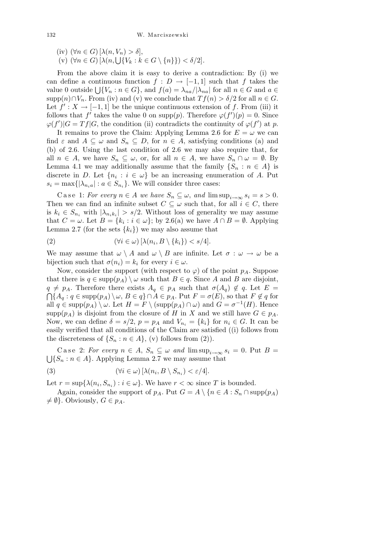$(iv)$   $(\forall n \in G)$   $[\lambda(n, V_n) > \delta],$  $(v)$   $(vn \in G)$   $[\lambda(n, V_n) > 0],$ <br>  $(v)$   $(\forall n \in G)$   $[\lambda(n, \bigcup \{V_k : k \in G \setminus \{n\}\}) < \delta/2].$ 

From the above claim it is easy to derive a contradiction: By (i) we can define a continuous function  $f : D \to [-1,1]$  such that *f* takes the value 0 outside  $\bigcup \{V_n : n \in G\}$ , and  $f(a) = \lambda_{na}/|\lambda_{na}|$  for all  $n \in G$  and  $a \in G$ supp $(n) \cap V_n$ . From (iv) and (v) we conclude that  $Tf(n) > \delta/2$  for all  $n \in G$ . Let  $f' : X \to [-1,1]$  be the unique continuous extension of f. From (iii) it follows that  $f'$  takes the value 0 on supp(p). Therefore  $\varphi(f')(p) = 0$ . Since  $\varphi(f')|G = Tf|G$ , the condition (ii) contradicts the continuity of  $\varphi(f')$  at *p*.

It remains to prove the Claim: Applying Lemma 2.6 for  $E = \omega$  we can find  $\varepsilon$  and  $A \subseteq \omega$  and  $S_n \subseteq D$ , for  $n \in A$ , satisfying conditions (a) and (b) of 2.6. Using the last condition of 2.6 we may also require that, for all  $n \in A$ , we have  $S_n \subseteq \omega$ , or, for all  $n \in A$ , we have  $S_n \cap \omega = \emptyset$ . By Lemma 4.1 we may additionally assume that the family  $\{S_n : n \in A\}$  is discrete in *D*. Let  $\{n_i : i \in \omega\}$  be an increasing enumeration of *A*. Put  $s_i = \max\{|\lambda_{n_i}a| : a \in S_{n_i}\}.$  We will consider three cases:

Case 1: *For every*  $n \in A$  *we have*  $S_n \subseteq \omega$ , and  $\limsup_{i \to \infty} s_i = s > 0$ . Then we can find an infinite subset  $C \subseteq \omega$  such that, for all  $i \in C$ , there is  $k_i \in S_{n_i}$  with  $|\lambda_{n_i k_i}| > s/2$ . Without loss of generality we may assume that  $C = \omega$ . Let  $B = \{k_i : i \in \omega\}$ ; by 2.6(a) we have  $A \cap B = \emptyset$ . Applying Lemma 2.7 (for the sets  $\{k_i\}$ ) we may also assume that

(2) 
$$
(\forall i \in \omega) [\lambda(n_i, B \setminus \{k_i\}) < s/4].
$$

We may assume that  $\omega \setminus A$  and  $\omega \setminus B$  are infinite. Let  $\sigma : \omega \to \omega$  be a bijection such that  $\sigma(n_i) = k_i$  for every  $i \in \omega$ .

Now, consider the support (with respect to  $\varphi$ ) of the point  $p_A$ . Suppose that there is  $q \in \text{supp}(p_A) \setminus \omega$  such that  $B \in q$ . Since *A* and *B* are disjoint,  $q \neq p_A$ . Therefore there exists  $A_q \in p_A$  such that  $\sigma(A_q) \notin q$ . Let  $E =$  $\bigcap \{A_q : q \in \text{supp}(p_A) \setminus \omega, B \in q\} \cap A \in p_A$ . Put  $F = \sigma(E)$ , so that  $F \notin q$  for all  $q \in \text{supp}(p_A) \setminus \omega$ . Let  $H = F \setminus (\text{supp}(p_A) \cap \omega)$  and  $G = \sigma^{-1}(H)$ . Hence supp $(p_A)$  is disjoint from the closure of *H* in *X* and we still have  $G \in p_A$ . Now, we can define  $\delta = s/2$ ,  $p = p_A$  and  $V_{n_i} = \{k_i\}$  for  $n_i \in G$ . It can be easily verified that all conditions of the Claim are satisfied ((i) follows from the discreteness of  $\{S_n : n \in A\}$ , (v) follows from (2)).

Case 2: *For every*  $n \in A$ ,  $S_n \subseteq \omega$  *and*  $\limsup_{i \to \infty} s_i = 0$ . Put  $B =$  $\bigcup \{S_n : n \in A\}$ . Applying Lemma 2.7 we may assume that

(3) 
$$
(\forall i \in \omega) [\lambda(n_i, B \setminus S_{n_i}) < \varepsilon/4].
$$

Let  $r = \sup\{\lambda(n_i, S_{n_i}) : i \in \omega\}$ . We have  $r < \infty$  since *T* is bounded.

Again, consider the support of  $p_A$ . Put  $G = A \setminus \{n \in A : S_n \cap \text{supp}(p_A)\}\)$  $\neq \emptyset$ . Obviously,  $G \in p_A$ .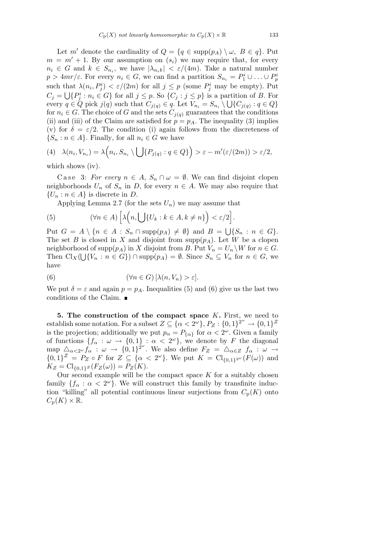Let *m'* denote the cardinality of  $Q = \{q \in \text{supp}(p_A) \setminus \omega, B \in q\}$ . Put  $m = m' + 1$ . By our assumption on  $(s_i)$  we may require that, for every  $n_i \in G$  and  $k \in S_{n_i}$ , we have  $|\lambda_{n_i k}| \langle \varepsilon/(4m)$ . Take a natural number  $p > 4mr/\varepsilon$ . For every  $n_i \in G$ , we can find a partition  $S_{n_i} = P_1^i \cup \ldots \cup P_p^i$ such that  $\lambda(n_i, P_j^i) < \varepsilon/(2m)$  for all  $j \leq p$  (some  $P_j^i$  may be empty). Put  $C_j = \bigcup \{P_j^i : n_i \in G\}$  for all  $j \leq p$ . So  $\{C_j : j \leq p\}$  is a partition of B. For every  $q \in Q$  pick  $j(q)$  such that  $C_{j(q)} \in q$ . Let  $V_{n_i} = S_{n_i} \setminus \bigcup \{C_{j(q)} : q \in Q\}$ for  $n_i \in G$ . The choice of *G* and the sets  $C_{j(q)}$  guarantees that the conditions (ii) and (iii) of the Claim are satisfied for  $p = p_A$ . The inequality (3) implies (v) for  $\delta = \varepsilon/2$ . The condition (i) again follows from the discreteness of  ${S_n : n \in A}$ . Finally, for all  $n_i \in G$  we have  $\frac{1}{2}$  $\mathbf{r}$ 

(4) 
$$
\lambda(n_i, V_{n_i}) = \lambda\Big(n_i, S_{n_i} \setminus \bigcup \{P_{j(q)} : q \in Q\}\Big) > \varepsilon - m'(\varepsilon/(2m)) > \varepsilon/2,
$$

which shows (iv).

Case 3: *For every*  $n \in A$ ,  $S_n \cap \omega = \emptyset$ . We can find disjoint clopen neighborhoods  $U_n$  of  $S_n$  in  $D$ , for every  $n \in A$ . We may also require that  ${U_n : n \in A}$  is discrete in *D*.

Applying Lemma 2.7 (for the sets  $U_n$ ) we may assume that

(5) 
$$
(\forall n \in A) \left[ \lambda \left( n, \bigcup \{ U_k : k \in A, k \neq n \} \right) < \varepsilon / 2 \right]
$$

Put  $G = A \setminus \{n \in A : S_n \cap \text{supp}(p_A) \neq \emptyset\}$  and  $B =$ *{S<sup>n</sup>* : *n ∈ G}*. The set *B* is closed in *X* and disjoint from supp $(p_A)$ . Let *W* be a clopen neighborhood of supp $(p_A)$  in *X* disjoint from *B*. Put  $V_n = U_n \setminus W$  for  $n \in G$ . Then  $\text{Cl}_X(\bigcup \{V_n : n \in G\}) \cap \text{supp}(p_A) = \emptyset$ . Since  $S_n \subseteq V_n$  for  $n \in G$ , we have

(6) 
$$
(\forall n \in G) [\lambda(n, V_n) > \varepsilon].
$$

We put  $\delta = \varepsilon$  and again  $p = p_A$ . Inequalities (5) and (6) give us the last two conditions of the Claim.

**5. The construction of the compact space** *K***.** First, we need to  $Z \subseteq \{\alpha < 2^{\omega}\}, P_Z : \{0, 1\}^{\omega} \to \{0, 1\}^{\mathbb{Z}}$ is the projection; additionally we put  $p_{\alpha} = P_{\{\alpha\}}$  for  $\alpha < 2^{\omega}$ . Given a family of functions  ${f_{\alpha}: \omega \to \{0,1\} : \alpha < 2^{\omega}\}\text{, we denote by } F \text{ the diagonal}$ map  $\Delta_{\alpha < 2^{\omega}} f_{\alpha} : \omega \to \{0, 1\}^{2^{\omega}}$ . We also define  $F_Z = \Delta_{\alpha \in Z} f_{\alpha} : \omega \to \omega$  $\{0,1\}^Z = P_Z \circ F$  for  $Z \subseteq \{\alpha < 2^{\omega}\}\$ . We put  $K = \text{Cl}_{\{0,1\}^2}(\mathcal{F}(\omega))$  and  $K_Z = Cl_{\{0,1\}^Z}(F_Z(\omega)) = P_Z(K).$ 

Our second example will be the compact space  $K$  for a suitably chosen family  ${f_\alpha : \alpha < 2^\omega}$ . We will construct this family by transfinite induction "killing" all potential continuous linear surjections from  $C_p(K)$  onto  $C_p(K) \times \mathbb{R}$ .

*.*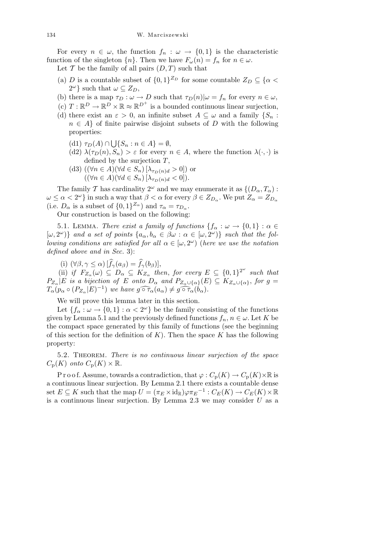For every  $n \in \omega$ , the function  $f_n : \omega \to \{0,1\}$  is the characteristic function of the singleton  $\{n\}$ . Then we have  $F_\omega(n) = f_n$  for  $n \in \omega$ .

Let  $\mathcal T$  be the family of all pairs  $(D, T)$  such that

- (a) *D* is a countable subset of  $\{0,1\}^{\mathbb{Z}_D}$  for some countable  $Z_D \subseteq \{\alpha \leq \alpha\}$  $2^{\omega}$ *}* such that  $\omega \subseteq Z_D$ ,
- (b) there is a map  $\tau_D : \omega \to D$  such that  $\tau_D(n)|\omega = f_n$  for every  $n \in \omega$ ,
- (c)  $T: \mathbb{R}^D \to \mathbb{R}^D \times \mathbb{R} \approx \mathbb{R}^{D^+}$  is a bounded continuous linear surjection,
- (d) there exist an  $\varepsilon > 0$ , an infinite subset  $A \subseteq \omega$  and a family  $\{S_n :$  $n \in A$  of finite pairwise disjoint subsets of *D* with the following properties:
	- $(d1)$   $\tau_D(A)$   $\cap$ S *{S<sup>n</sup>* : *n ∈ A}* = *∅*,
	- (d2)  $\lambda(\tau_D(n), S_n) > \varepsilon$  for every  $n \in A$ , where the function  $\lambda(\cdot, \cdot)$  is defined by the surjection *T*,
	- (d3) ( $(\forall n \in A)(\forall d \in S_n) [\lambda_{\tau_D(n)d} > 0]$ ) or  $((\forall n \in A)(\forall d \in S_n) [\lambda_{\tau_D(n)d} < 0]).$

The family *T* has cardinality  $2^{\omega}$  and we may enumerate it as  $\{(D_{\alpha}, T_{\alpha})$ :  $\omega \leq \alpha < 2^{\omega}$  } in such a way that  $\beta < \alpha$  for every  $\beta \in Z_{D_{\alpha}}$ . We put  $Z_{\alpha} = Z_{D_{\alpha}}$ (i.e.  $D_{\alpha}$  is a subset of  $\{0,1\}^{\mathbb{Z}_{\alpha}}$ ) and  $\tau_{\alpha} = \tau_{D_{\alpha}}$ .

Our construction is based on the following:

5.1. LEMMA. *There exist a family of functions*  ${f_{\alpha}: \omega \to \{0,1\} : \alpha \in \mathbb{R}^n}$  $[\omega, 2^{\omega}]$ *}* and a set of points  $\{a_{\alpha}, b_{\alpha} \in \beta \omega : \alpha \in [\omega, 2^{\omega})\}$  such that the fol*lowing conditions are satisfied for all*  $\alpha \in [\omega, 2^{\omega})$  (*here we use the notation defined above and in Sec.* 3):

(i)  $(\forall \beta, \gamma \leq \alpha) \left[ \widehat{f}_{\gamma}(a_{\beta}) = \widehat{f}_{\gamma}(b_{\beta}) \right],$ 

(ii) if  $F_{Z_\alpha}(\omega) \subseteq D_\alpha \subseteq K_{Z_\alpha}$  then, for every  $E \subseteq \{0,1\}^{2^\omega}$  such that  $P_{Z_{\alpha}}|E$  is a bijection of E onto  $D_{\alpha}$  and  $P_{Z_{\alpha}\cup{\{\alpha\}}}(E) \subseteq K_{Z_{\alpha}\cup{\{\alpha\}}},$  for  $g =$  $T_{\alpha}(p_{\alpha} \circ (P_{Z_{\alpha}}|E)^{-1})$  we have  $g \widehat{\circ \tau_{\alpha}}(a_{\alpha}) \neq g \widehat{\circ \tau_{\alpha}}(b_{\alpha}).$ 

We will prove this lemma later in this section.

Let  ${f_\alpha : \omega \to \{0,1\} : \alpha < 2^\omega\}$  be the family consisting of the functions given by Lemma 5.1 and the previously defined functions  $f_n, n \in \omega$ . Let K be the compact space generated by this family of functions (see the beginning of this section for the definition of *K*). Then the space *K* has the following property:

5.2. Theorem. *There is no continuous linear surjection of the space*  $C_p(K)$  *onto*  $C_p(K) \times \mathbb{R}$ *.* 

P r o o f. Assume, towards a contradiction, that  $\varphi: C_p(K) \to C_p(K) \times \mathbb{R}$  is a continuous linear surjection. By Lemma 2.1 there exists a countable dense  $E \subseteq K$  such that the map  $U = (\pi_E \times id_{\mathbb{R}}) \varphi \pi_E^{-1} : C_E(K) \to C_E(K) \times \mathbb{R}$ is a continuous linear surjection. By Lemma 2.3 we may consider *U* as a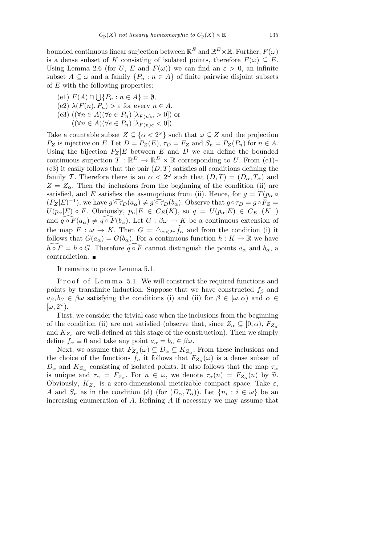bounded continuous linear surjection between  $\mathbb{R}^E$  and  $\mathbb{R}^E \times \mathbb{R}$ . Further,  $F(\omega)$ is a dense subset of *K* consisting of isolated points, therefore  $F(\omega) \subseteq E$ . Using Lemma 2.6 (for *U*, *E* and  $F(\omega)$ ) we can find an  $\varepsilon > 0$ , an infinite subset  $A \subseteq \omega$  and a family  $\{P_n : n \in A\}$  of finite pairwise disjoint subsets of *E* with the following properties:

- (e1) *F*(*A*) *∩* S *{P<sup>n</sup>* : *n ∈ A}* = *∅*,
- (e2)  $\lambda(F(n), P_n) > \varepsilon$  for every  $n \in A$ ,
- $(e3)$   $((\forall n \in A)(\forall e \in P_n) [\lambda_{F(n)e} > 0])$  or
	- $((\forall n \in A)(\forall e \in P_n)[\lambda_{F(n)e} < 0]).$

Take a countable subset  $Z \subseteq \{ \alpha < 2^{\omega} \}$  such that  $\omega \subseteq Z$  and the projection *P***Z** is injective on *E*. Let  $D = P_Z(E)$ ,  $\tau_D = F_Z$  and  $S_n = P_Z(P_n)$  for  $n \in A$ . Using the bijection  $P_Z|E$  between  $E$  and  $D$  we can define the bounded continuous surjection  $T : \mathbb{R}^D \to \mathbb{R}^D \times \mathbb{R}$  corresponding to *U*. From (e1)– (e3) it easily follows that the pair  $(D,T)$  satisfies all conditions defining the family *T*. Therefore there is an  $\alpha < 2^{\omega}$  such that  $(D,T) = (D_{\alpha}, T_{\alpha})$  and  $Z = Z_{\alpha}$ . Then the inclusions from the beginning of the condition (ii) are satisfied, and *E* satisfies the assumptions from (ii). Hence, for  $g = T(p_\alpha \circ$  $(P_Z|E)^{-1}$ , we have  $g \circ \tau_D(a_\alpha) \neq g \circ \tau_D(b_\alpha)$ . Observe that  $g \circ \tau_D = g \circ F_Z =$  $U(p_{\alpha}|E) \circ F$ . Obviously,  $p_{\alpha}|E \in C_E(K)$ , so  $q = U(p_{\alpha}|E) \in C_{E^+}(K^+)$ and  $q \circ F(a_\alpha) \neq q \circ F(b_\alpha)$ . Let  $G : \beta \omega \to K$  be a continuous extension of the map  $F: \omega \to K$ . Then  $G = \triangle_{\alpha \leq 2^{\omega}} \widehat{f}_{\alpha}$  and from the condition (i) it follows that  $G(a_{\alpha}) = G(b_{\alpha})$ . For a continuous function  $h: K \to \mathbb{R}$  we have  $h \circ F = h \circ G$ . Therefore  $q \circ F$  cannot distinguish the points  $a_{\alpha}$  and  $b_{\alpha}$ , a contradiction.

It remains to prove Lemma 5.1.

Proof of Lemma 5.1. We will construct the required functions and points by transfinite induction. Suppose that we have constructed  $f_\beta$  and  $a_{\beta}, b_{\beta} \in \beta \omega$  satisfying the conditions (i) and (ii) for  $\beta \in [\omega, \alpha)$  and  $\alpha \in \mathbb{R}$  $\left[\omega, 2^{\omega}\right)$ .

First, we consider the trivial case when the inclusions from the beginning of the condition (ii) are not satisfied (observe that, since  $Z_{\alpha} \subseteq [0, \alpha)$ ,  $F_{Z_{\alpha}}$ and  $K_{Z_{\alpha}}$  are well-defined at this stage of the construction). Then we simply define  $f_{\alpha} \equiv 0$  and take any point  $a_{\alpha} = b_{\alpha} \in \beta \omega$ .

Next, we assume that  $F_{Z_\alpha}(\omega) \subseteq D_\alpha \subseteq K_{Z_\alpha}$ . From these inclusions and the choice of the functions  $f_n$  it follows that  $F_{Z_\alpha}(\omega)$  is a dense subset of  $D_{\alpha}$  and  $K_{Z_{\alpha}}$  consisting of isolated points. It also follows that the map  $\tau_{\alpha}$ is unique and  $\tau_{\alpha} = F_{Z_{\alpha}}$ . For  $n \in \omega$ , we denote  $\tau_{\alpha}(n) = F_{Z_{\alpha}}(n)$  by  $\tilde{n}$ . Obviously,  $K_{Z_{\alpha}}$  is a zero-dimensional metrizable compact space. Take  $\varepsilon$ , *A* and  $S_n$  as in the condition (d) (for  $(D_\alpha, T_\alpha)$ ). Let  $\{n_i : i \in \omega\}$  be an increasing enumeration of *A*. Refining *A* if necessary we may assume that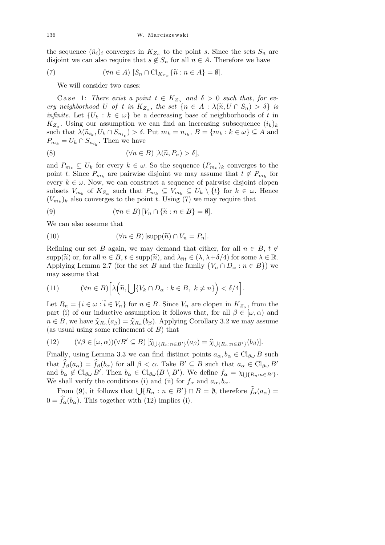the sequence  $(\widetilde{n}_i)_i$  converges in  $K_{Z_\alpha}$  to the point *s*. Since the sets  $S_n$  are disjoint we can also require that  $s \notin S_n$  for all  $n \in A$ . Therefore we have

(7) 
$$
(\forall n \in A) [S_n \cap \mathrm{Cl}_{K_{Z_\alpha}} \{\widetilde{n} : n \in A\} = \emptyset].
$$

We will consider two cases:

Case 1: *There exist a point*  $t \in K_{Z_\alpha}$  and  $\delta > 0$  such that, for ev*ery neighborhood U of t in*  $K_{Z_\alpha}$ , *the set*  $\{n \in A : \lambda(\widetilde{n}, U \cap S_n) > \delta\}$  *is infinite.* Let  $\{U_k : k \in \omega\}$  be a decreasing base of neighborhoods of t in  $K_{Z_{\alpha}}$ . Using our assumption we can find an increasing subsequence  $(i_k)_k$ such that  $\lambda(\widetilde{n}_{i_k}, U_k \cap S_{n_{i_k}}) > \delta$ . Put  $m_k = n_{i_k}, B = \{m_k : k \in \omega\} \subseteq A$  and  $P_{m_k} = U_k \cap S_{n_{i_k}}$ . Then we have

(8) 
$$
(\forall n \in B) [\lambda(\widetilde{n}, P_n) > \delta],
$$

and  $P_{m_k} \subseteq U_k$  for every  $k \in \omega$ . So the sequence  $(P_{m_k})_k$  converges to the point *t*. Since  $P_{m_k}$  are pairwise disjoint we may assume that  $t \notin P_{m_k}$  for every  $k \in \omega$ . Now, we can construct a sequence of pairwise disjoint clopen subsets  $V_{m_k}$  of  $K_{Z_\alpha}$  such that  $P_{m_k} \subseteq V_{m_k} \subseteq U_k \setminus \{t\}$  for  $k \in \omega$ . Hence  $(V_{m_k})_k$  also converges to the point *t*. Using (7) we may require that

(9) 
$$
(\forall n \in B) [V_n \cap {\{\widetilde{n} : n \in B\}} = \emptyset].
$$

We can also assume that

(10) 
$$
(\forall n \in B) [\text{supp}(\widetilde{n}) \cap V_n = P_n].
$$

Refining our set *B* again, we may demand that either, for all  $n \in B$ ,  $t \notin \mathbb{R}$ supp $(\widetilde{n})$  or, for all  $n \in B$ ,  $t \in \text{supp}(\widetilde{n})$ , and  $\lambda_{\widetilde{n}t} \in (\lambda, \lambda + \delta/4)$  for some  $\lambda \in \mathbb{R}$ . Applying Lemma 2.7 (for the set *B* and the family  $\{V_n \cap D_\alpha : n \in B\}$ ) we may assume that

(11) 
$$
(\forall n \in B) \Big[ \lambda \Big( \widetilde{n}, \bigcup \{ V_k \cap D_{\alpha} : k \in B, k \neq n \} \Big) < \delta/4 \Big].
$$

Let  $R_n = \{i \in \omega : \tilde{i} \in V_n\}$  for  $n \in B$ . Since  $V_n$  are clopen in  $K_{Z_\alpha}$ , from the part (i) of our inductive assumption it follows that, for all  $\beta \in [\omega, \alpha)$  and  $n \in B$ , we have  $\hat{\chi}_{R_n}(a_\beta) = \hat{\chi}_{R_n}(b_\beta)$ . Applying Corollary 3.2 we may assume (as usual using some refinement of *B*) that

(12) 
$$
(\forall \beta \in [\omega, \alpha))(\forall B' \subseteq B) [\widehat{\chi}_{\bigcup \{R_n : n \in B'\}}(a_{\beta}) = \widehat{\chi}_{\bigcup \{R_n : n \in B'\}}(b_{\beta})].
$$

Finally, using Lemma 3.3 we can find distinct points  $a_{\alpha}, b_{\alpha} \in Cl_{\beta \omega} B$  such that  $\widehat{f}_{\beta}(a_{\alpha}) = \widehat{f}_{\beta}(b_{\alpha})$  for all  $\beta < \alpha$ . Take  $B' \subseteq B$  such that  $a_{\alpha} \in Cl_{\beta \omega} B'$ and  $b_{\alpha} \notin \mathrm{Cl}_{\beta_{\omega}} B'$ . Then  $b_{\alpha} \in \mathrm{Cl}_{\beta_{\omega}}(B \setminus B')$ . We define  $f_{\alpha} = \chi_{\bigcup \{R_n : n \in B'\}}$ . We shall verify the conditions (i) and (ii) for  $f_{\alpha}$  and  $a_{\alpha}, b_{\alpha}$ .

From (9), it follows that  $\bigcup \{R_n : n \in B'\} \cap B = \emptyset$ , therefore  $\hat{f}_\alpha(a_\alpha) =$  $0 = \hat{f}_{\alpha}(b_{\alpha})$ . This together with (12) implies (i).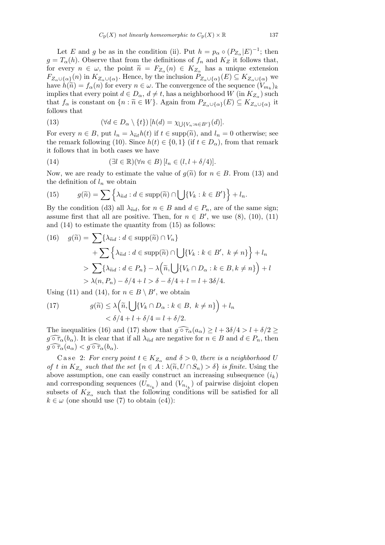Let *E* and *g* be as in the condition (ii). Put  $h = p_\alpha \circ (P_{Z_\alpha}|E)^{-1}$ ; then  $g = T_\alpha(h)$ . Observe that from the definitions of  $f_n$  and  $K_Z$  it follows that, for every  $n \in \omega$ , the point  $\tilde{n} = F_{Z_{\alpha}}(n) \in K_{Z_{\alpha}}$  has a unique extension  $F_{Z_\alpha\cup\{\alpha\}}(n)$  in  $K_{Z_\alpha\cup\{\alpha\}}$ . Hence, by the inclusion  $P_{Z_\alpha\cup\{\alpha\}}(E)\subseteq K_{Z_\alpha\cup\{\alpha\}}$  we have  $h(\tilde{n}) = f_{\alpha}(n)$  for every  $n \in \omega$ . The convergence of the sequence  $(V_{m_k})_k$ implies that every point  $d \in D_{\alpha}$ ,  $d \neq t$ , has a neighborhood  $W$  (in  $K_{Z_{\alpha}}$ ) such that  $f_{\alpha}$  is constant on  $\{n : \tilde{n} \in W\}$ . Again from  $P_{Z_{\alpha} \cup \{\alpha\}}(E) \subseteq K_{Z_{\alpha} \cup \{\alpha\}}$  it follows that

(13) 
$$
(\forall d \in D_{\alpha} \setminus \{t\}) [h(d) = \chi_{\bigcup \{V_n : n \in B'\}}(d)].
$$

For every  $n \in B$ , put  $l_n = \lambda_{\tilde{n}t} h(t)$  if  $t \in \text{supp}(\tilde{n})$ , and  $l_n = 0$  otherwise; see the remark following (10). Since  $h(t) \in \{0,1\}$  (if  $t \in D_\alpha$ ), from that remark it follows that in both cases we have

(14) 
$$
(\exists l \in \mathbb{R})(\forall n \in B) [l_n \in (l, l + \delta/4)].
$$

Now, we are ready to estimate the value of  $g(\tilde{n})$  for  $n \in B$ . From (13) and o

the definition of 
$$
l_n
$$
 we obtain  
\n(15) 
$$
g(\tilde{n}) = \sum \left\{ \lambda_{\tilde{n}d} : d \in \text{supp}(\tilde{n}) \cap \bigcup \{ V_k : k \in B' \} \right\} + l_n.
$$

By the condition (d3) all  $\lambda_{\tilde{n}d}$ , for  $n \in B$  and  $d \in P_n$ , are of the same sign; assume first that all are positive. Then, for  $n \in B'$ , we use (8), (10), (11) and (14) to estimate the quantity from (15) as follows:

(16) 
$$
g(\widetilde{n}) = \sum \{ \lambda_{\widetilde{n}d} : d \in \text{supp}(\widetilde{n}) \cap V_n \} + \sum \left\{ \lambda_{\widetilde{n}d} : d \in \text{supp}(\widetilde{n}) \cap \bigcup \{ V_k : k \in B', k \neq n \} \right\} + l_n
$$
  
> 
$$
\sum \{ \lambda_{\widetilde{n}d} : d \in P_n \} - \lambda \left( \widetilde{n}, \bigcup \{ V_k \cap D_\alpha : k \in B, k \neq n \} \right) + l
$$
  
> 
$$
\lambda(n, P_n) - \delta/4 + l > \delta - \delta/4 + l = l + 3\delta/4.
$$

Using (11) and (14), for  $n \in B \setminus B'$ , we obtain  $\overline{\phantom{a}}$ 

(17) 
$$
g(\widetilde{n}) \leq \lambda \left( \widetilde{n}, \bigcup \{ V_k \cap D_{\alpha} : k \in B, k \neq n \} \right) + l_n < \delta/4 + l + \delta/4 = l + \delta/2.
$$

The inequalities (16) and (17) show that  $g \circ \tau_\alpha(a_\alpha) \geq l + 3\delta/4 > l + \delta/2 \geq$  $g \widehat{\circ} \tau_{\alpha}(b_{\alpha})$ . It is clear that if all  $\lambda_{\tilde{n}d}$  are negative for  $n \in B$  and  $d \in P_n$ , then  $g \widehat{\circ \tau_\alpha}(a_\alpha) < g \widehat{\circ \tau_\alpha}(b_\alpha).$ 

Case 2: *For every point*  $t \in K_{Z_\alpha}$  and  $\delta > 0$ , there is a neighborhood U *of t in*  $K_{Z_\alpha}$  *such that the set*  $\{n \in A : \lambda(\tilde{n}, U \cap S_n) > \delta\}$  *is finite.* Using the above assumption, one can easily construct an increasing subsequence  $(i_k)$ and corresponding sequences  $(U_{n_{i_k}})$  and  $(V_{n_{i_k}})$  of pairwise disjoint clopen subsets of  $K_{Z_\alpha}$  such that the following conditions will be satisfied for all  $k \in \omega$  (one should use (7) to obtain (c4)):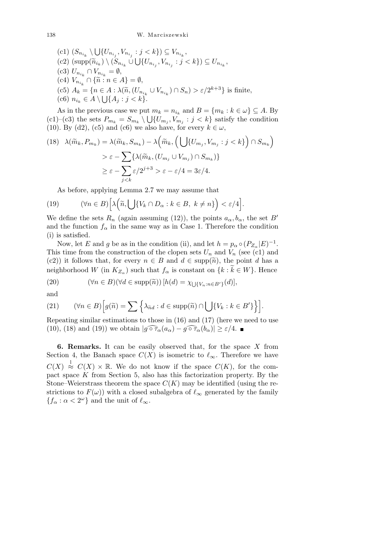$(c1)$   $(S_{n_{i_k}} \setminus$ S  $\{U_{n_{i_j}}, V_{n_{i_j}} : j < k\}$ )  $\subseteq V_{n_{i_k}}$  $(C2) \left(\text{supp}(\widetilde{n}_{i_k}) \setminus (S_{n_{i_k}} \cup \bigcup \{U_{n_{i_j}}, V_{n_{i_j}} : j < k\}) \subseteq U_{n_{i_k}},$  $(C3)$   $U_{n_{i_k}} \cap V_{n_{i_k}} = \emptyset$ ,  $(C4)$   $V_{n_{i_k}} \cap {\tilde{n}: n \in A} = \emptyset,$  $(c5)$   $A_k = \{ n \in A : \lambda(\tilde{n}, (U_{n_{i_k}} \cup V_{n_{i_k}}) \cap S_n) > \varepsilon/2^{k+3} \}$  is finite,  $(c6)$   $n_{i_k} \in A \setminus \bigcup \{A_j : j < k\}.$ 

As in the previous case we put  $m_k = n_{i_k}$  and  $B = \{m_k : k \in \omega\} \subseteq A$ . By (c1)–(c3) the sets  $P_{m_k} = S_{m_k} \setminus \bigcup \{U_{m_j}, V_{m_j} : j < k\}$  satisfy the condition (10). By (d2), (c5) and (c6) we also have, for every  $k \in \omega$ ,  $\mathbf{r}$  $\mathbf{r}$ 

(18) 
$$
\lambda(\widetilde{m}_k, P_{m_k}) = \lambda(\widetilde{m}_k, S_{m_k}) - \lambda \left(\widetilde{m}_k, \left(\bigcup \{U_{m_j}, V_{m_j} : j < k\}\right) \cap S_{m_k}\right) \\
> \varepsilon - \sum \{\lambda(\widetilde{m}_k, (U_{m_j} \cup V_{m_j}) \cap S_{m_k})\} \\
> \varepsilon - \sum_{j < k} \varepsilon / 2^{j+3} > \varepsilon - \varepsilon / 4 = 3\varepsilon / 4.
$$

As before, applying Lemma 2.7 we may assume that

(19) 
$$
(\forall n \in B) \Big[ \lambda \Big( \widetilde{n}, \bigcup \{ V_k \cap D_{\alpha} : k \in B, k \neq n \} \Big) < \varepsilon/4 \Big].
$$

We define the sets  $R_n$  (again assuming (12)), the points  $a_\alpha, b_\alpha$ , the set *B*<sup>*i*</sup> and the function  $f_\alpha$  in the same way as in Case 1. Therefore the condition (i) is satisfied.

Now, let *E* and *g* be as in the condition (ii), and let  $h = p_{\alpha} \circ (P_{Z_{\alpha}}|E)^{-1}$ . This time from the construction of the clopen sets  $U_n$  and  $V_n$  (see (c1) and (c2)) it follows that, for every  $n \in B$  and  $d \in \text{supp}(\tilde{n})$ , the point *d* has a neighborhood *W* (in  $K_{Z_{\alpha}}$ ) such that  $f_{\alpha}$  is constant on  $\{k : \widetilde{k} \in W\}$ . Hence

(20) 
$$
(\forall n \in B)(\forall d \in \text{supp}(\tilde{n})) [h(d) = \chi_{\bigcup \{V_n : n \in B'\}}(d)],
$$

and

(21) 
$$
(\forall n \in B) \Big[ g(\widetilde{n}) = \sum \Big\{ \lambda_{\widetilde{n}d} : d \in \text{supp}(\widetilde{n}) \cap \bigcup \{ V_k : k \in B' \} \Big\} \Big].
$$

Repeating similar estimations to those in (16) and (17) (here we need to use (10), (18) and (19)) we obtain  $|g \widehat{\circ} \tau_{\alpha}(a_{\alpha}) - g \widehat{\circ} \tau_{\alpha}(b_{\alpha})| \geq \varepsilon/4$ .

**6. Remarks.** It can be easily observed that, for the space *X* from Section 4, the Banach space  $C(X)$  is isometric to  $\ell_{\infty}$ . Therefore we have  $C(X) \stackrel{1}{\approx} C(X) \times \mathbb{R}$ . We do not know if the space  $C(K)$ , for the compact space *K* from Section 5, also has this factorization property. By the Stone–Weierstrass theorem the space  $C(K)$  may be identified (using the restrictions to  $F(\omega)$ ) with a closed subalgebra of  $\ell_{\infty}$  generated by the family  ${f_{\alpha} : \alpha < 2^{\omega} }$  and the unit of  $\ell_{\infty}$ .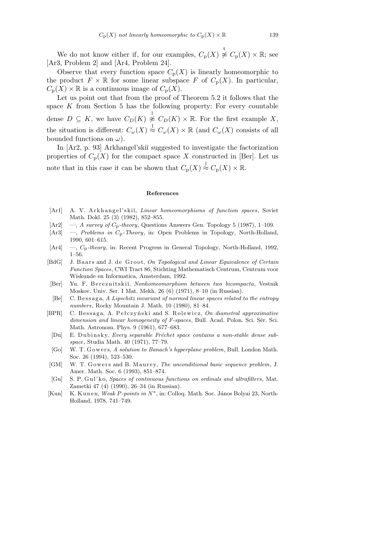We do not know either if, for our examples,  $C_p(X) \overset{\text{t}}{\not\approx} C_p(X) \times \mathbb{R}$ ; see [Ar3, Problem 2] and [Ar4, Problem 24].

Observe that every function space  $C_p(X)$  is linearly homeomorphic to the product  $F \times \mathbb{R}$  for some linear subspace *F* of  $C_p(X)$ . In particular,  $C_p(X) \times \mathbb{R}$  is a continuous image of  $C_p(X)$ .

Let us point out that from the proof of Theorem 5.2 it follows that the space *K* from Section 5 has the following property: For every countable dense  $D \subseteq K$ , we have  $C_D(K) \overset{1}{\not\approx} C_D(K) \times \mathbb{R}$ . For the first example X, the situation is different:  $C_{\omega}(X) \stackrel{1}{\approx} C_{\omega}(X) \times \mathbb{R}$  (and  $C_{\omega}(X)$  consists of all bounded functions on *ω*).

In [Ar2, p. 93] Arkhangel'skiĭ suggested to investigate the factorization properties of  $C_p(X)$  for the compact space X constructed in [Ber]. Let us note that in this case it can be shown that  $C_p(X) \stackrel{1}{\approx} C_p(X) \times \mathbb{R}$ .

## **References**

- [Ar1] A. V. Arkhangel'skij, *Linear homeomorphisms of function spaces*, Soviet Math. Dokl. 25 (3) (1982), 852–855.
- [Ar2] —, *A survey of C*p*-theory*, Questions Answers Gen. Topology 5 (1987), 1–109.
- [Ar3] —, *Problems in C*p*-Theory*, in: Open Problems in Topology, North-Holland, 1990, 601–615.
- [Ar4] —, *C*p*-theory*, in: Recent Progress in General Topology, North-Holland, 1992, 1–56.
- [BdG] J. Baars and J. de Groot, On Topological and Linear Equivalence of Certain *Function Spaces*, CWI Tract 86, Stichting Mathematisch Centrum, Centrum voor Wiskunde en Informatica, Amsterdam, 1992.
- [Ber] Yu. F. Bereznitskiĭ, *Nonhomeomorphism between two bicompacta*, Vestnik Moskov. Univ. Ser. I Mat. Mekh. 26 (6) (1971), 8–10 (in Russian).
- [Be] C. Bessaga, *A Lipschitz invariant of normed linear spaces related to the entropy numbers*, Rocky Mountain J. Math. 10 (1980), 81–84.
- [BPR] C. Bessaga, A. Pełczyński and S. Rolewicz, On diametral approximative *dimension and linear homogeneity of F-spaces*, Bull. Acad. Polon. Sci. Sér. Sci. Math. Astronom. Phys. 9 (1961), 677–683.
	- [Du] E. Dubinsky, *Every separable Fréchet space contains a non-stable dense subspace*, Studia Math. 40 (1971), 77–79.
	- [Go] W. T. Gowers, *A solution to Banach's hyperplane problem*, Bull. London Math. Soc. 26 (1994), 523–530.
- [GM] W. T. Gowers and B. Maurey, *The unconditional basic sequence problem*, J. Amer. Math. Soc. 6 (1993), 851–874.
- [Gu] S. P. G ul' k o, *Spaces of continuous functions on ordinals and ultrafilters*, Mat. Zametki 47 (4) (1990), 26–34 (in Russian).
- [Kun] K. Kunen, Weak P-points in  $N^*$ , in: Colloq. Math. Soc. János Bolyai 23, North-Holland, 1978, 741–749.